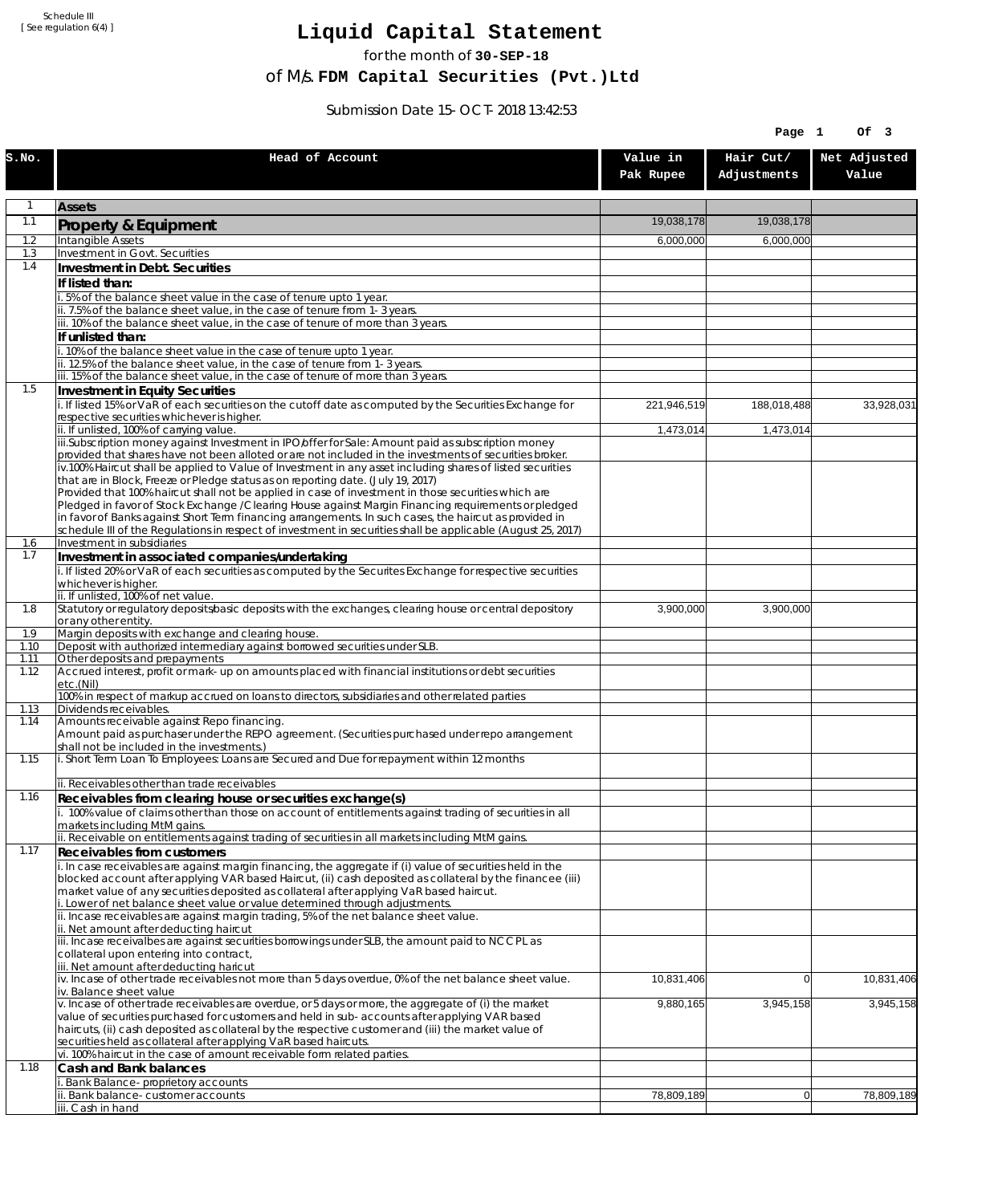Schedule III [ See regulation 6(4) ]

## **Liquid Capital Statement**

for the month of **30-SEP-18**

of M/s. **FDM Capital Securities (Pvt.)Ltd**

Submission Date 15-OCT-2018 13:42:53

|              |                                                                                                                                                                                                                       |                        | Page 1         | Of 3         |
|--------------|-----------------------------------------------------------------------------------------------------------------------------------------------------------------------------------------------------------------------|------------------------|----------------|--------------|
| S.NO.        | Head of Account                                                                                                                                                                                                       | Value in               | Hair Cut/      | Net Adjusted |
|              |                                                                                                                                                                                                                       | Pak Rupee              | Adjustments    | Value        |
| $\mathbf{1}$ | <b>Assets</b>                                                                                                                                                                                                         |                        |                |              |
| 1.1          | Property & Equipment                                                                                                                                                                                                  | 19,038,178             | 19,038,178     |              |
| 1.2          | Intangible Assets                                                                                                                                                                                                     | 6,000,000              | 6,000,000      |              |
| 1.3<br>1.4   | Investment in Govt. Securities<br>Investment in Debt. Securities                                                                                                                                                      |                        |                |              |
|              | If listed than:                                                                                                                                                                                                       |                        |                |              |
|              | 5% of the balance sheet value in the case of tenure upto 1 year.                                                                                                                                                      |                        |                |              |
|              | ii. 7.5% of the balance sheet value, in the case of tenure from 1-3 years.<br>iii. 10% of the balance sheet value, in the case of tenure of more than 3 years.                                                        |                        |                |              |
|              | If unlisted than:                                                                                                                                                                                                     |                        |                |              |
|              | .10% of the balance sheet value in the case of tenure upto 1 year.                                                                                                                                                    |                        |                |              |
|              | ii. 12.5% of the balance sheet value, in the case of tenure from 1-3 years.<br>iii. 15% of the balance sheet value, in the case of tenure of more than 3 years.                                                       |                        |                |              |
| 1.5          | Investment in Equity Securities                                                                                                                                                                                       |                        |                |              |
|              | i. If listed 15% or VaR of each securities on the cutoff date as computed by the Securities Exchange for<br>respective securities whichever is higher.                                                                | 221,946,519            | 188,018,488    | 33,928,031   |
|              | ii. If unlisted, 100% of carrying value.                                                                                                                                                                              | $\overline{1,}473,014$ | 1,473,014      |              |
|              | iii.Subscription money against Investment in IPO/offer for Sale: Amount paid as subscription money                                                                                                                    |                        |                |              |
|              | provided that shares have not been alloted or are not included in the investments of securities broker.<br>iv.100% Haircut shall be applied to Value of Investment in any asset including shares of listed securities |                        |                |              |
|              | that are in Block, Freeze or Pledge status as on reporting date. (July 19, 2017)                                                                                                                                      |                        |                |              |
|              | Provided that 100% haircut shall not be applied in case of investment in those securities which are<br>Pledged in favor of Stock Exchange / Clearing House against Margin Financing requirements or pledged           |                        |                |              |
|              | in favor of Banks against Short Term financing arrangements. In such cases, the haircut as provided in                                                                                                                |                        |                |              |
| 1.6          | schedule III of the Regulations in respect of investment in securities shall be applicable (August 25, 2017)<br>Investment in subsidiaries                                                                            |                        |                |              |
| 1.7          | Investment in associated companies/undertaking                                                                                                                                                                        |                        |                |              |
|              | i. If listed 20% or VaR of each securities as computed by the Securites Exchange for respective securities                                                                                                            |                        |                |              |
|              | whichever is higher.<br>ii. If unlisted, 100% of net value.                                                                                                                                                           |                        |                |              |
| 1.8          | Statutory or regulatory deposits/basic deposits with the exchanges, clearing house or central depository                                                                                                              | 3,900,000              | 3,900,000      |              |
| 1.9          | or any other entity.<br>Margin deposits with exchange and clearing house.                                                                                                                                             |                        |                |              |
| 1.10         | Deposit with authorized intermediary against borrowed securities under SLB.                                                                                                                                           |                        |                |              |
| 1.11<br>1.12 | Other deposits and prepayments<br>Accrued interest, profit or mark-up on amounts placed with financial institutions or debt securities                                                                                |                        |                |              |
|              | etc.(Nil)                                                                                                                                                                                                             |                        |                |              |
| 1.13         | 100% in respect of markup accrued on loans to directors, subsidiaries and other related parties<br>Dividends receivables.                                                                                             |                        |                |              |
| 1.14         | Amounts receivable against Repo financing.                                                                                                                                                                            |                        |                |              |
|              | Amount paid as purchaser under the REPO agreement. (Securities purchased under repo arrangement<br>shall not be included in the investments.)                                                                         |                        |                |              |
| 1.15         | i. Short Term Loan To Employees: Loans are Secured and Due for repayment within 12 months                                                                                                                             |                        |                |              |
|              |                                                                                                                                                                                                                       |                        |                |              |
| 1.16         | ii. Receivables other than trade receivables<br>Receivables from clearing house or securities exchange(s)                                                                                                             |                        |                |              |
|              | 100% value of claims other than those on account of entitlements against trading of securities in all                                                                                                                 |                        |                |              |
|              | markets including MtM gains.<br>ii. Receivable on entitlements against trading of securities in all markets including MtM gains.                                                                                      |                        |                |              |
| 1.17         | Receivables from customers                                                                                                                                                                                            |                        |                |              |
|              | i. In case receivables are against margin financing, the aggregate if (i) value of securities held in the                                                                                                             |                        |                |              |
|              | blocked account after applying VAR based Haircut, (ii) cash deposited as collateral by the financee (iii)<br>market value of any securities deposited as collateral after applying VaR based haircut.                 |                        |                |              |
|              | i. Lower of net balance sheet value or value determined through adjustments.                                                                                                                                          |                        |                |              |
|              | ii. Incase receivables are against margin trading, 5% of the net balance sheet value.<br>ii. Net amount after deducting haircut                                                                                       |                        |                |              |
|              | iii. Incase receivalbes are against securities borrowings under SLB, the amount paid to NCCPL as                                                                                                                      |                        |                |              |
|              | collateral upon entering into contract,<br>iii. Net amount after deducting haricut                                                                                                                                    |                        |                |              |
|              | iv. Incase of other trade receivables not more than 5 days overdue, 0% of the net balance sheet value.                                                                                                                | 10,831,406             | $\overline{0}$ | 10,831,406   |
|              | iv. Balance sheet value<br>v. Incase of other trade receivables are overdue, or 5 days or more, the aggregate of (i) the market                                                                                       |                        | 3,945,158      | 3,945,158    |
|              | value of securities purchased for customers and held in sub-accounts after applying VAR based                                                                                                                         | 9,880,165              |                |              |
|              | haircuts, (ii) cash deposited as collateral by the respective customer and (iii) the market value of                                                                                                                  |                        |                |              |
|              | securities held as collateral after applying VaR based haircuts.<br>vi. 100% haircut in the case of amount receivable form related parties.                                                                           |                        |                |              |
| 1.18         | Cash and Bank balances                                                                                                                                                                                                |                        |                |              |
|              | i. Bank Balance-proprietory accounts                                                                                                                                                                                  | 78,809,189             | 0              | 78,809,189   |
|              | ii. Bank balance-customer accounts<br>iii. Cash in hand                                                                                                                                                               |                        |                |              |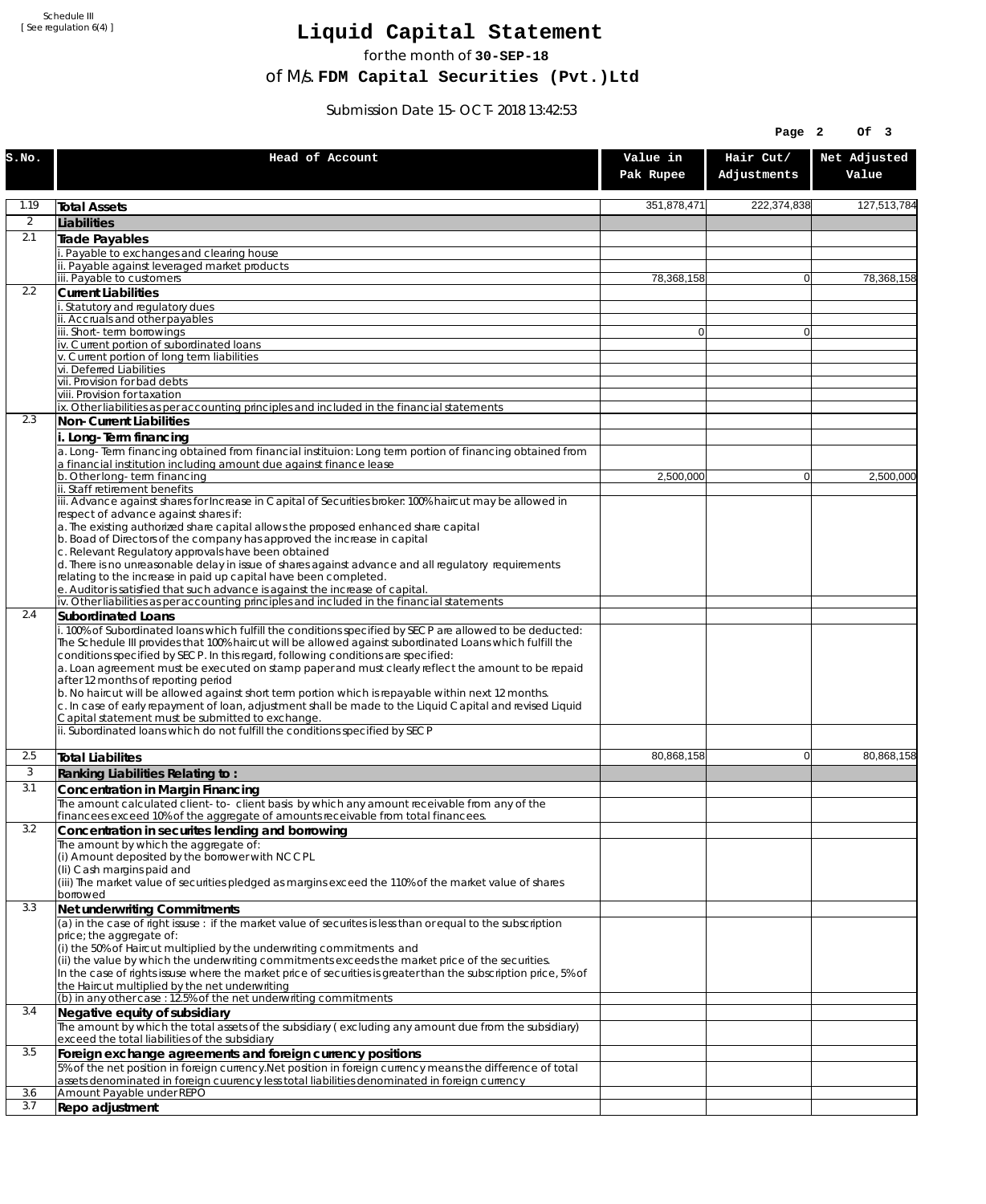Schedule III [ See regulation 6(4) ]

## **Liquid Capital Statement**

for the month of **30-SEP-18**

of M/s. **FDM Capital Securities (Pvt.)Ltd**

Submission Date 15-OCT-2018 13:42:53

|          |                                                                                                                                                                                                                                                                                                                                                                                                                                                                                                                                                                                                                                                                                                                                                                                                              |                       | Page 2                   | Of 3                  |
|----------|--------------------------------------------------------------------------------------------------------------------------------------------------------------------------------------------------------------------------------------------------------------------------------------------------------------------------------------------------------------------------------------------------------------------------------------------------------------------------------------------------------------------------------------------------------------------------------------------------------------------------------------------------------------------------------------------------------------------------------------------------------------------------------------------------------------|-----------------------|--------------------------|-----------------------|
| S.No.    | Head of Account                                                                                                                                                                                                                                                                                                                                                                                                                                                                                                                                                                                                                                                                                                                                                                                              | Value in<br>Pak Rupee | Hair Cut/<br>Adjustments | Net Adjusted<br>Value |
| 1.19     | Total Assets                                                                                                                                                                                                                                                                                                                                                                                                                                                                                                                                                                                                                                                                                                                                                                                                 | 351,878,471           | 222,374,838              | 127,513,784           |
| 2        | Liabilities                                                                                                                                                                                                                                                                                                                                                                                                                                                                                                                                                                                                                                                                                                                                                                                                  |                       |                          |                       |
| 2.1      | Trade Payables                                                                                                                                                                                                                                                                                                                                                                                                                                                                                                                                                                                                                                                                                                                                                                                               |                       |                          |                       |
|          | Payable to exchanges and clearing house                                                                                                                                                                                                                                                                                                                                                                                                                                                                                                                                                                                                                                                                                                                                                                      |                       |                          |                       |
|          | ii. Payable against leveraged market products<br>iii. Payable to customers                                                                                                                                                                                                                                                                                                                                                                                                                                                                                                                                                                                                                                                                                                                                   | 78,368,158            | $\overline{0}$           | 78.368.158            |
| 2.2      | <b>Current Liabilities</b>                                                                                                                                                                                                                                                                                                                                                                                                                                                                                                                                                                                                                                                                                                                                                                                   |                       |                          |                       |
|          | Statutory and regulatory dues                                                                                                                                                                                                                                                                                                                                                                                                                                                                                                                                                                                                                                                                                                                                                                                |                       |                          |                       |
|          | ii. Accruals and other payables<br>iii. Short-term borrowings                                                                                                                                                                                                                                                                                                                                                                                                                                                                                                                                                                                                                                                                                                                                                | $\overline{0}$        | $\overline{0}$           |                       |
|          | iv. Current portion of subordinated loans                                                                                                                                                                                                                                                                                                                                                                                                                                                                                                                                                                                                                                                                                                                                                                    |                       |                          |                       |
|          | v. Current portion of long term liabilities                                                                                                                                                                                                                                                                                                                                                                                                                                                                                                                                                                                                                                                                                                                                                                  |                       |                          |                       |
|          | vi. Deferred Liabilities<br>vii. Provision for bad debts                                                                                                                                                                                                                                                                                                                                                                                                                                                                                                                                                                                                                                                                                                                                                     |                       |                          |                       |
|          | viii. Provision for taxation                                                                                                                                                                                                                                                                                                                                                                                                                                                                                                                                                                                                                                                                                                                                                                                 |                       |                          |                       |
|          | ix. Other liabilities as per accounting principles and included in the financial statements                                                                                                                                                                                                                                                                                                                                                                                                                                                                                                                                                                                                                                                                                                                  |                       |                          |                       |
| 2.3      | <b>Non-Current Liabilities</b>                                                                                                                                                                                                                                                                                                                                                                                                                                                                                                                                                                                                                                                                                                                                                                               |                       |                          |                       |
|          | i. Long-Term financing<br>a. Long-Term financing obtained from financial instituion: Long term portion of financing obtained from                                                                                                                                                                                                                                                                                                                                                                                                                                                                                                                                                                                                                                                                            |                       |                          |                       |
|          | a financial institution including amount due against finance lease                                                                                                                                                                                                                                                                                                                                                                                                                                                                                                                                                                                                                                                                                                                                           |                       |                          |                       |
|          | b. Other long-term financing                                                                                                                                                                                                                                                                                                                                                                                                                                                                                                                                                                                                                                                                                                                                                                                 | 2,500,000             | $\overline{0}$           | 2,500,000             |
|          | ii. Staff retirement benefits<br>iii. Advance against shares for Increase in Capital of Securities broker: 100% haircut may be allowed in                                                                                                                                                                                                                                                                                                                                                                                                                                                                                                                                                                                                                                                                    |                       |                          |                       |
|          | respect of advance against shares if:                                                                                                                                                                                                                                                                                                                                                                                                                                                                                                                                                                                                                                                                                                                                                                        |                       |                          |                       |
|          | a. The existing authorized share capital allows the proposed enhanced share capital<br>b. Boad of Directors of the company has approved the increase in capital                                                                                                                                                                                                                                                                                                                                                                                                                                                                                                                                                                                                                                              |                       |                          |                       |
|          | c. Relevant Regulatory approvals have been obtained                                                                                                                                                                                                                                                                                                                                                                                                                                                                                                                                                                                                                                                                                                                                                          |                       |                          |                       |
|          | d. There is no unreasonable delay in issue of shares against advance and all regulatory requirements                                                                                                                                                                                                                                                                                                                                                                                                                                                                                                                                                                                                                                                                                                         |                       |                          |                       |
|          | relating to the increase in paid up capital have been completed.<br>e. Auditor is satisfied that such advance is against the increase of capital.                                                                                                                                                                                                                                                                                                                                                                                                                                                                                                                                                                                                                                                            |                       |                          |                       |
|          | iv. Other liabilities as per accounting principles and included in the financial statements                                                                                                                                                                                                                                                                                                                                                                                                                                                                                                                                                                                                                                                                                                                  |                       |                          |                       |
| 2.4      | <b>Subordinated Loans</b>                                                                                                                                                                                                                                                                                                                                                                                                                                                                                                                                                                                                                                                                                                                                                                                    |                       |                          |                       |
|          | i. 100% of Subordinated loans which fulfill the conditions specified by SECP are allowed to be deducted:<br>The Schedule III provides that 100% haircut will be allowed against subordinated Loans which fulfill the<br>conditions specified by SECP. In this regard, following conditions are specified:<br>a. Loan agreement must be executed on stamp paper and must clearly reflect the amount to be repaid<br>after 12 months of reporting period<br>b. No haircut will be allowed against short term portion which is repayable within next 12 months.<br>c. In case of early repayment of loan, adjustment shall be made to the Liquid Capital and revised Liquid<br>Capital statement must be submitted to exchange.<br>ii. Subordinated loans which do not fulfill the conditions specified by SECP |                       |                          |                       |
|          |                                                                                                                                                                                                                                                                                                                                                                                                                                                                                                                                                                                                                                                                                                                                                                                                              |                       |                          |                       |
| 2.5<br>3 | <b>Total Liabilites</b>                                                                                                                                                                                                                                                                                                                                                                                                                                                                                                                                                                                                                                                                                                                                                                                      | 80,868,158            | $\overline{0}$           | 80,868,158            |
| 3.1      | Ranking Liabilities Relating to:<br>Concentration in Margin Financing                                                                                                                                                                                                                                                                                                                                                                                                                                                                                                                                                                                                                                                                                                                                        |                       |                          |                       |
|          | The amount calculated client-to- client basis by which any amount receivable from any of the                                                                                                                                                                                                                                                                                                                                                                                                                                                                                                                                                                                                                                                                                                                 |                       |                          |                       |
|          | financees exceed 10% of the aggregate of amounts receivable from total financees.                                                                                                                                                                                                                                                                                                                                                                                                                                                                                                                                                                                                                                                                                                                            |                       |                          |                       |
| 3.2      | Concentration in securites lending and borrowing                                                                                                                                                                                                                                                                                                                                                                                                                                                                                                                                                                                                                                                                                                                                                             |                       |                          |                       |
|          | The amount by which the aggregate of:<br>(i) Amount deposited by the borrower with NCCPL                                                                                                                                                                                                                                                                                                                                                                                                                                                                                                                                                                                                                                                                                                                     |                       |                          |                       |
|          | (Ii) Cash margins paid and                                                                                                                                                                                                                                                                                                                                                                                                                                                                                                                                                                                                                                                                                                                                                                                   |                       |                          |                       |
|          | (iii) The market value of securities pledged as margins exceed the 110% of the market value of shares                                                                                                                                                                                                                                                                                                                                                                                                                                                                                                                                                                                                                                                                                                        |                       |                          |                       |
| 3.3      | borrowed<br>Net underwriting Commitments                                                                                                                                                                                                                                                                                                                                                                                                                                                                                                                                                                                                                                                                                                                                                                     |                       |                          |                       |
|          | (a) in the case of right issuse : if the market value of securites is less than or equal to the subscription                                                                                                                                                                                                                                                                                                                                                                                                                                                                                                                                                                                                                                                                                                 |                       |                          |                       |
|          | price; the aggregate of:                                                                                                                                                                                                                                                                                                                                                                                                                                                                                                                                                                                                                                                                                                                                                                                     |                       |                          |                       |
|          | (i) the 50% of Haircut multiplied by the underwriting commitments and<br>(ii) the value by which the underwriting commitments exceeds the market price of the securities.                                                                                                                                                                                                                                                                                                                                                                                                                                                                                                                                                                                                                                    |                       |                          |                       |
|          | In the case of rights issuse where the market price of securities is greater than the subscription price, 5% of                                                                                                                                                                                                                                                                                                                                                                                                                                                                                                                                                                                                                                                                                              |                       |                          |                       |
|          | the Haircut multiplied by the net underwriting                                                                                                                                                                                                                                                                                                                                                                                                                                                                                                                                                                                                                                                                                                                                                               |                       |                          |                       |
| 3.4      | (b) in any other case: 12.5% of the net underwriting commitments<br>Negative equity of subsidiary                                                                                                                                                                                                                                                                                                                                                                                                                                                                                                                                                                                                                                                                                                            |                       |                          |                       |
|          | The amount by which the total assets of the subsidiary (excluding any amount due from the subsidiary)                                                                                                                                                                                                                                                                                                                                                                                                                                                                                                                                                                                                                                                                                                        |                       |                          |                       |
|          | exceed the total liabilities of the subsidiary                                                                                                                                                                                                                                                                                                                                                                                                                                                                                                                                                                                                                                                                                                                                                               |                       |                          |                       |
| 3.5      | Foreign exchange agreements and foreign currency positions                                                                                                                                                                                                                                                                                                                                                                                                                                                                                                                                                                                                                                                                                                                                                   |                       |                          |                       |
|          | 5% of the net position in foreign currency. Net position in foreign currency means the difference of total<br>assets denominated in foreign cuurency less total liabilities denominated in foreign currency                                                                                                                                                                                                                                                                                                                                                                                                                                                                                                                                                                                                  |                       |                          |                       |
| 3.6      | Amount Payable under REPO                                                                                                                                                                                                                                                                                                                                                                                                                                                                                                                                                                                                                                                                                                                                                                                    |                       |                          |                       |
| 3.7      | Repo adjustment                                                                                                                                                                                                                                                                                                                                                                                                                                                                                                                                                                                                                                                                                                                                                                                              |                       |                          |                       |